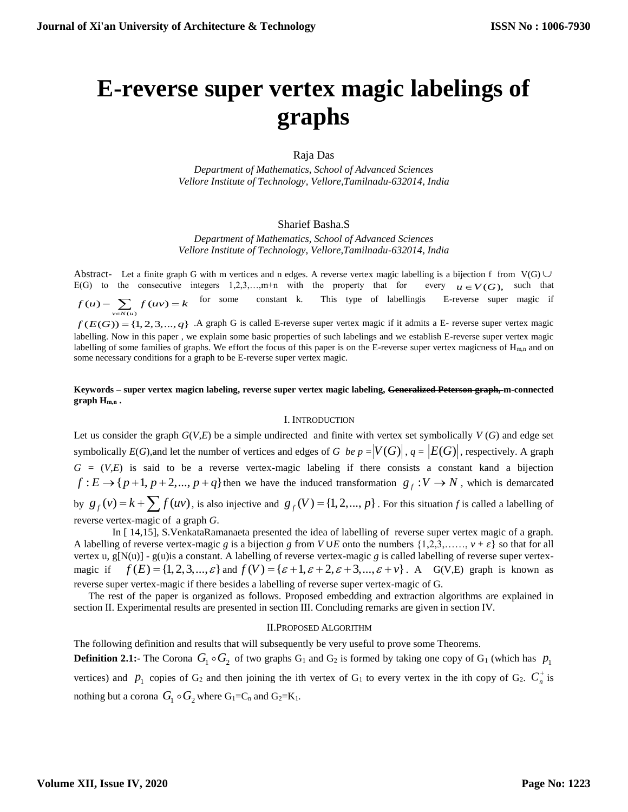# **E-reverse super vertex magic labelings of graphs**

Raja Das

*Department of Mathematics, School of Advanced Sciences Vellore Institute of Technology, Vellore,Tamilnadu-632014, India*

## Sharief Basha.S

*Department of Mathematics, School of Advanced Sciences Vellore Institute of Technology, Vellore,Tamilnadu-632014, India*

Abstract- Let a finite graph G with m vertices and n edges. A reverse vertex magic labelling is a bijection f from  $V(G)$  $E(G)$  to the consecutive integers  $1,2,3,...,m+n$  with the property that for  $u \in V(G)$ , such that  $f(u) - \sum_{v \in N(u)} f(uv) = k$ for some constant k. This type of labellingis E-reverse super magic if  $f(E(G)) = \{1, 2, 3, ..., q\}$  . A graph G is called E-reverse super vertex magic if it admits a E- reverse super vertex magic labelling. Now in this paper , we explain some basic properties of such labelings and we establish E-reverse super vertex magic labelling of some families of graphs. We effort the focus of this paper is on the E-reverse super vertex magicness of  $H_{m,n}$  and on some necessary conditions for a graph to be E-reverse super vertex magic.

### **Keywords – super vertex magicn labeling, reverse super vertex magic labeling, Generalized Peterson graph, m-connected graph Hm,n .**

#### I. INTRODUCTION

Let us consider the graph  $G(V, E)$  be a simple undirected and finite with vertex set symbolically  $V(G)$  and edge set symbolically  $E(G)$ , and let the number of vertices and edges of *G* be  $p = |V(G)|$ ,  $q = |E(G)|$ , respectively. A graph  $G = (V,E)$  is said to be a reverse vertex-magic labeling if there consists a constant kand a bijection  $f: E \rightarrow \{p+1, p+2,..., p+q\}$  then we have the induced transformation  $g<sub>f</sub>: V \rightarrow N$ , which is demarcated by  $g_f(v) = k + \sum f(uv)$ , is also injective and  $g_f(V) = \{1, 2, ..., p\}$ . For this situation *f* is called a labelling of reverse vertex-magic of a graph *G*.

 In [ 14,15], S.VenkataRamanaeta presented the idea of labelling of reverse super vertex magic of a graph. A labelling of reverse vertex-magic *g* is a bijection *g* from *V* ∪*E* onto the numbers  $\{1,2,3,\ldots,\,v+\varepsilon\}$  so that for all vertex u,  $g[N(u)]$  -  $g(u)$  is a constant. A labelling of reverse vertex-magic *g* is called labelling of reverse super vertexmagic if  $f(E) = \{1, 2, 3, \dots, \varepsilon\}$  and  $f(V) = \{\varepsilon + 1, \varepsilon + 2, \varepsilon + 3, \dots, \varepsilon + \nu\}$ . A G(V,E) graph is known as reverse super vertex-magic if there besides a labelling of reverse super vertex-magic of G.

The rest of the paper is organized as follows. Proposed embedding and extraction algorithms are explained in section II. Experimental results are presented in section III. Concluding remarks are given in section IV.

#### II.PROPOSED ALGORITHM

The following definition and results that will subsequently be very useful to prove some Theorems. **Definition 2.1:-** The Corona  $G_1 \circ G_2$  of two graphs  $G_1$  and  $G_2$  is formed by taking one copy of  $G_1$  (which has  $p_1$ vertices) and  $p_1$  copies of  $G_2$  and then joining the ith vertex of  $G_1$  to every vertex in the ith copy of  $G_2$ .  $C_n^+$  is nothing but a corona  $G_1 \circ G_2$  where  $G_1 = C_n$  and  $G_2 = K_1$ .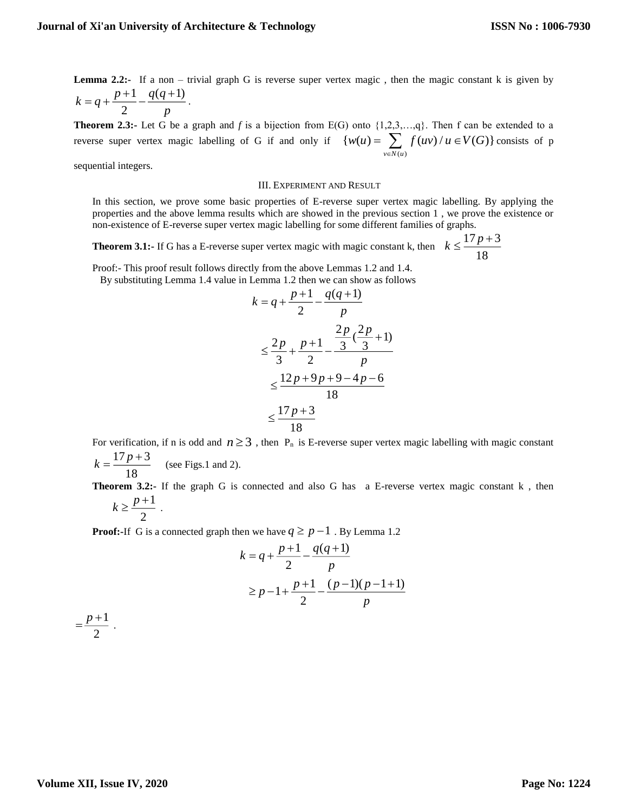*p*

**Lemma 2.2:-** If a non – trivial graph G is reverse super vertex magic, then the magic constant k is given by 1  $q(q+1)$  $k = q + \frac{p+1}{2} - \frac{q(q)}{q}$  $= q + \frac{p+1}{q} - \frac{q(q+1)}{q}$ .

**Theorem 2.3:-** Let G be a graph and *f* is a bijection from E(G) onto {1,2,3,…,q}. Then f can be extended to a reverse super vertex magic labelling of G if and only if  $(u)$  $\{ w(u) = \sum f(uv) / u \in V(G) \}$ *v*∈N(*u*  $w(u) = \sum f(uv)/u \in V(G)$ F  $= \sum f(uv)/u \in V(G)$ } consists of p

sequential integers.

#### III. EXPERIMENT AND RESULT

In this section, we prove some basic properties of E-reverse super vertex magic labelling. By applying the properties and the above lemma results which are showed in the previous section 1 , we prove the existence or non-existence of E-reverse super vertex magic labelling for some different families of graphs.

**Theorem 3.1:-** If G has a E-reverse super vertex magic with magic constant k, then  $k \leq \frac{17p+3}{16}$ 18  $k \leq \frac{1/p + p}{p}$ 

Proof:- This proof result follows directly from the above Lemmas 1.2 and 1.4. By substituting Lemma 1.4 value in Lemma 1.2 then we can show as follows

$$
k = q + \frac{p+1}{2} - \frac{q(q+1)}{p}
$$
  
\n
$$
\leq \frac{2p}{3} + \frac{p+1}{2} - \frac{\frac{2p}{3}(\frac{2p}{3}+1)}{p}
$$
  
\n
$$
\leq \frac{12p+9p+9-4p-6}{18}
$$
  
\n
$$
\leq \frac{17p+3}{18}
$$

For verification, if n is odd and  $n \geq 3$ , then  $P_n$  is E-reverse super vertex magic labelling with magic constant  $17p+3$  $k = \frac{\Gamma/p + 3}{\Gamma}$  (see Figs.1 and 2).

**Theorem 3.2:** If the graph G is connected and also G has a E-reverse vertex magic constant k, then 
$$
1 \leq p+1
$$

$$
k \geq \frac{p+1}{2} \; .
$$

**Proof:**-If G is a connected graph then we have  $q \ge p - 1$ . By Lemma 1.2

$$
k = q + \frac{p+1}{2} - \frac{q(q+1)}{p}
$$
  
\n
$$
\ge p - 1 + \frac{p+1}{2} - \frac{(p-1)(p-1+1)}{p}
$$

1 2  $=\frac{p+1}{q}$ .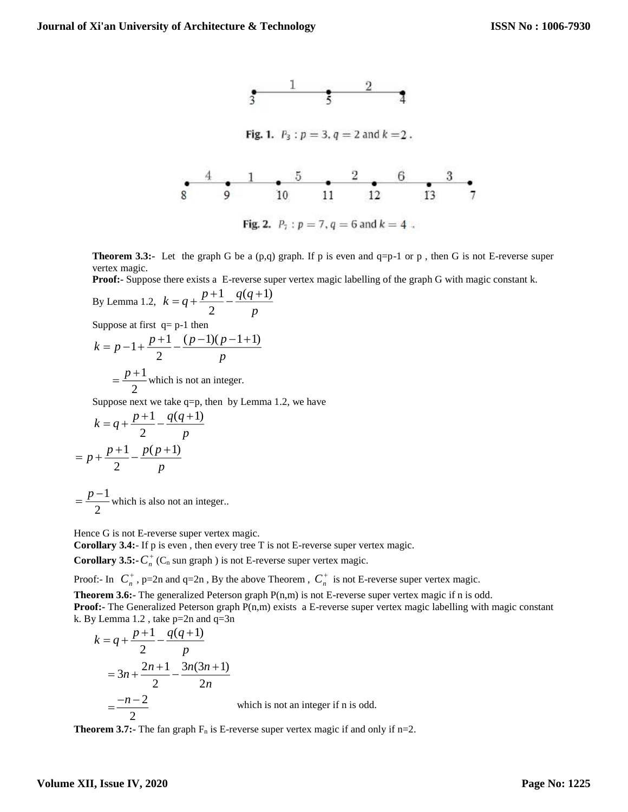

**Theorem 3.3:-** Let the graph G be a  $(p,q)$  graph. If p is even and  $q=p-1$  or p, then G is not E-reverse super vertex magic.

**Proof:-** Suppose there exists a E-reverse super vertex magic labelling of the graph G with magic constant k.

By Lemma 1.2, 
$$
k = q + \frac{p+1}{2} - \frac{q(q+1)}{p}
$$
  
\nSuppose at first  $q = p-1$  then  
\n
$$
k = p - 1 + \frac{p+1}{2} - \frac{(p-1)(p-1+1)}{p}
$$
\n
$$
= \frac{p+1}{2}
$$
 which is not an integer.

Suppose next we take  $q=p$ , then by Lemma 1.2, we have

$$
k = q + \frac{p+1}{2} - \frac{q(q+1)}{p}
$$

$$
= p + \frac{p+1}{2} - \frac{p(p+1)}{p}
$$

1 2  $=$   $\frac{p-1}{2}$  which is also not an integer..

Hence G is not E-reverse super vertex magic.

**Corollary 3.4:**- If p is even , then every tree T is not E-reverse super vertex magic.

**Corollary 3.5:-** $C_n^+$  ( $C_n$  sun graph) is not E-reverse super vertex magic.

Proof:- In  $C_n^+$ , p=2n and q=2n, By the above Theorem,  $C_n^+$  is not E-reverse super vertex magic.

**Theorem 3.6:-** The generalized Peterson graph  $P(n,m)$  is not E-reverse super vertex magic if n is odd.

**Proof:-** The Generalized Peterson graph P(n,m) exists a E-reverse super vertex magic labelling with magic constant k. By Lemma 1.2 , take p=2n and q=3n

$$
k = q + \frac{p+1}{2} - \frac{q(q+1)}{p}
$$
  
=  $3n + \frac{2n+1}{2} - \frac{3n(3n+1)}{2n}$   
=  $\frac{-n-2}{2}$  which is not an integer if n is odd.

**Theorem 3.7:-** The fan graph  $F_n$  is E-reverse super vertex magic if and only if  $n=2$ .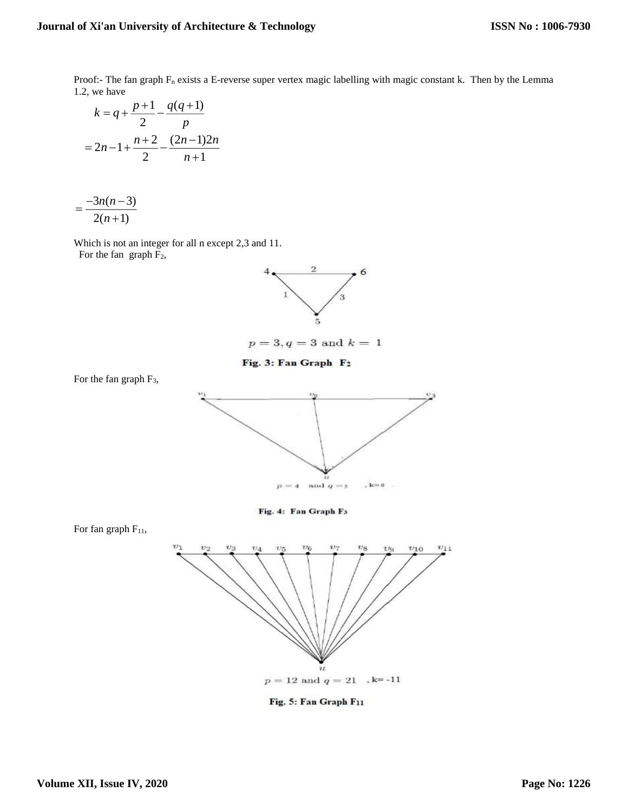Proof:- The fan graph  $F_n$  exists a E-reverse super vertex magic labelling with magic constant k. Then by the Lemma 1.2, we have

$$
k = q + \frac{p+1}{2} - \frac{q(q+1)}{p}
$$

$$
= 2n - 1 + \frac{n+2}{2} - \frac{(2n-1)2n}{n+1}
$$

$$
=\frac{-3n(n-3)}{2(n+1)}
$$

Which is not an integer for all n except 2,3 and 11.

For the fan graph  $F_2$ ,

For the fan graph  $F_3$ ,



 $p = 3, q = 3$  and  $k = 1$ 

Fig. 3: Fan Graph F<sub>2</sub>



Fig. 4: Fan Graph F3



Fig. 5: Fan Graph F11

For fan graph  $F_{11}$ ,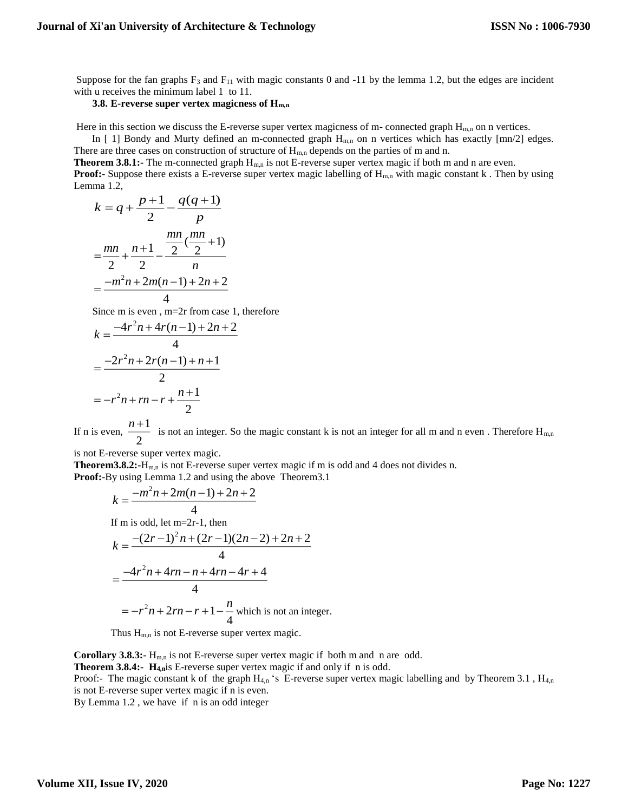Suppose for the fan graphs  $F_3$  and  $F_{11}$  with magic constants 0 and -11 by the lemma 1.2, but the edges are incident with u receives the minimum label 1 to 11.

# **3.8. E-reverse super vertex magicness of Hm,n**

Here in this section we discuss the E-reverse super vertex magicness of m- connected graph  $H_{m,n}$  on n vertices.

In [ 1] Bondy and Murty defined an m-connected graph  $H_{m,n}$  on n vertices which has exactly  $[mn/2]$  edges. There are three cases on construction of structure of  $H_{m,n}$  depends on the parties of m and n.

**Theorem 3.8.1:-** The m-connected graph H<sub>m,n</sub> is not E-reverse super vertex magic if both m and n are even. **Proof:**- Suppose there exists a E-reverse super vertex magic labelling of H<sub>m,n</sub> with magic constant k. Then by using Lemma 1.2,

$$
k = q + \frac{p+1}{2} - \frac{q(q+1)}{p}
$$

$$
= \frac{mn}{2} + \frac{n+1}{2} - \frac{\frac{mn}{2}(\frac{mn}{2}+1)}{n}
$$

$$
= \frac{-m^2n + 2m(n-1) + 2n + 2}{4}
$$

Since m is even , m=2r from case 1, therefore

$$
k = \frac{-4r^{2}n + 4r(n-1) + 2n + 2}{4}
$$
  
= 
$$
\frac{-2r^{2}n + 2r(n-1) + n + 1}{2}
$$
  
= 
$$
-r^{2}n + rn - r + \frac{n+1}{2}
$$

If n is even,  $\frac{n+1}{1}$ 2  $\frac{n+1}{2}$  is not an integer. So the magic constant k is not an integer for all m and n even. Therefore H<sub>m,n</sub>

is not E-reverse super vertex magic.

**Theorem3.8.2:**-H<sub>m,n</sub> is not E-reverse super vertex magic if m is odd and 4 does not divides n. **Proof:**-By using Lemma 1.2 and using the above Theorem3.1

$$
k = \frac{-m^2n + 2m(n-1) + 2n + 2}{4}
$$
  
If m is odd, let m=2r-1, then  

$$
k = \frac{-(2r-1)^2n + (2r-1)(2n-2) + 2n + 2}{4}
$$

$$
= \frac{-4r^2n + 4rn - n + 4rn - 4r + 4}{4}
$$

$$
= -r^2n + 2rn - r + 1 - \frac{n}{4} \text{ which is not an integer.}
$$

Thus  $H_{m,n}$  is not E-reverse super vertex magic.

**Corollary 3.8.3:-** H<sub>m,n</sub> is not E-reverse super vertex magic if both m and n are odd.

**Theorem 3.8.4:- H4,n**is E-reverse super vertex magic if and only if n is odd.

Proof:- The magic constant k of the graph  $H_{4,n}$  's E-reverse super vertex magic labelling and by Theorem 3.1,  $H_{4,n}$ is not E-reverse super vertex magic if n is even.

By Lemma 1.2 , we have if n is an odd integer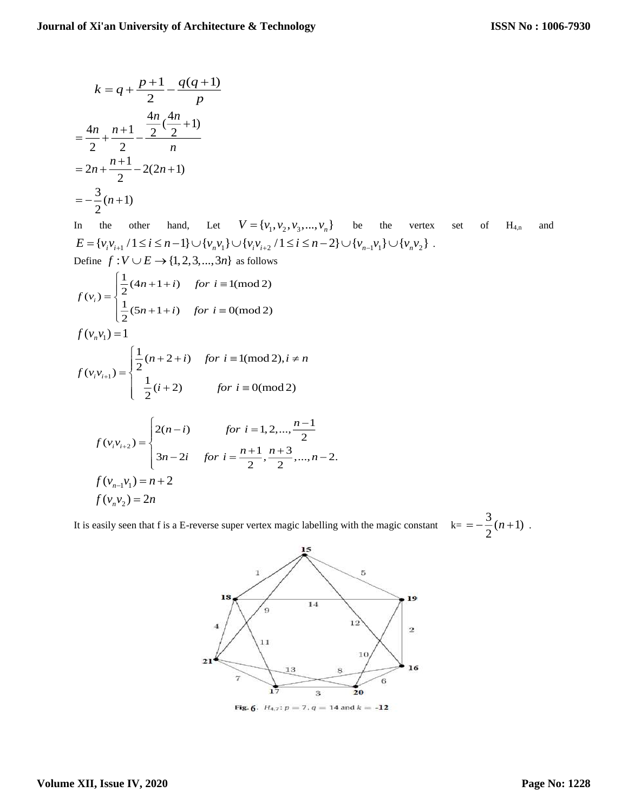$$
k = q + \frac{p+1}{2} - \frac{q(q+1)}{p}
$$
  
=  $\frac{4n}{2} + \frac{n+1}{2} - \frac{\frac{4n}{2}(\frac{4n}{2}+1)}{n}$   
=  $2n + \frac{n+1}{2} - 2(2n+1)$   
=  $-\frac{3}{2}(n+1)$ 

In the other hand, Let  $V = \{v_1, v_2, v_3, ..., v_n\}$  be the vertex set of H<sub>4,n</sub> and  $E = \{v_i v_{i+1} / 1 \le i \le n-1\} \cup \{v_n v_1\} \cup \{v_i v_{i+2} / 1 \le i \le n-2\} \cup \{v_{n-1} v_1\} \cup \{v_n v_2\}.$ Define  $f: V \cup E \rightarrow \{1, 2, 3, ..., 3n\}$  as follows

$$
f(v_i) = \begin{cases} \frac{1}{2}(4n+1+i) & \text{for } i \equiv 1 \text{ (mod 2)}\\ \frac{1}{2}(5n+1+i) & \text{for } i \equiv 0 \text{ (mod 2)} \end{cases}
$$

$$
f(v_n v_1) = 1
$$

$$
f(v_i v_{i+1}) = \begin{cases} \frac{1}{2}(n+2+i) & \text{for } i \equiv 1 \pmod{2}, i \neq n \\ \frac{1}{2}(i+2) & \text{for } i \equiv 0 \pmod{2} \end{cases}
$$

$$
f(v_i v_{i+2}) = \begin{cases} 2(n-i) & \text{for } i = 1, 2, ..., \frac{n-1}{2} \\ 3n-2i & \text{for } i = \frac{n+1}{2}, \frac{n+3}{2}, ..., n-2. \end{cases}
$$
  

$$
f(v_{n-1}v_1) = n+2
$$
  

$$
f(v_n v_2) = 2n
$$

It is easily seen that f is a E-reverse super vertex magic labelling with the magic constant  $k = -\frac{3}{2}(n+1)$ .



Fig. 6.  $H_{4,7}$ :  $p = 7$ ,  $q = 14$  and  $k = -12$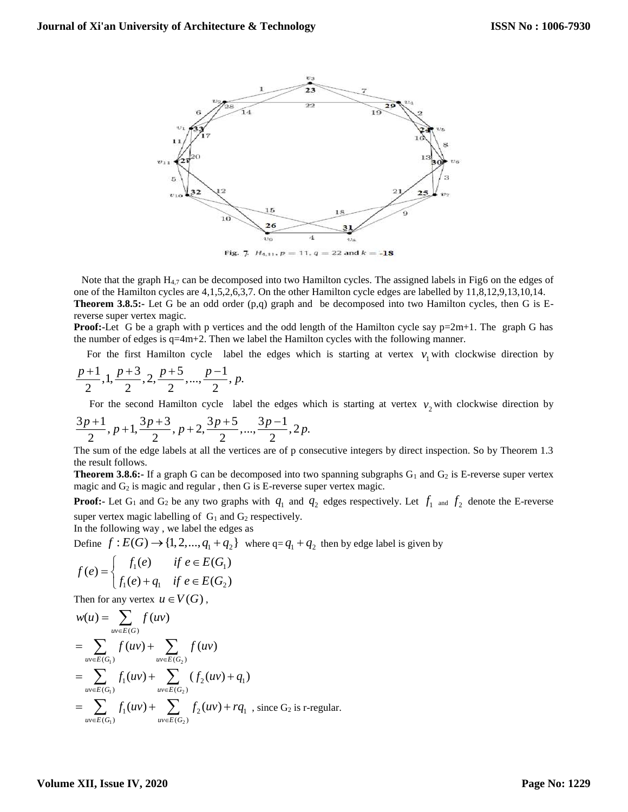

Fig. 7.  $H_{4,11}$ ,  $p = 11$ ,  $q = 22$  and  $k = -18$ 

Note that the graph  $H_{4,7}$  can be decomposed into two Hamilton cycles. The assigned labels in Fig6 on the edges of one of the Hamilton cycles are 4,1,5,2,6,3,7. On the other Hamilton cycle edges are labelled by 11,8,12,9,13,10,14. **Theorem 3.8.5:-** Let G be an odd order (p,q) graph and be decomposed into two Hamilton cycles, then G is E-

reverse super vertex magic.

**Proof:**-Let G be a graph with p vertices and the odd length of the Hamilton cycle say  $p=2m+1$ . The graph G has the number of edges is  $q=4m+2$ . Then we label the Hamilton cycles with the following manner.

For the first Hamilton cycle label the edges which is starting at vertex  $v_1$  with clockwise direction by

$$
\frac{p+1}{2}, 1, \frac{p+3}{2}, 2, \frac{p+5}{2}, ..., \frac{p-1}{2}, p.
$$

For the second Hamilton cycle label the edges which is starting at vertex  $v_2$  with clockwise direction by

$$
\frac{3p+1}{2}, p+1, \frac{3p+3}{2}, p+2, \frac{3p+5}{2}, \ldots, \frac{3p-1}{2}, 2p.
$$

The sum of the edge labels at all the vertices are of p consecutive integers by direct inspection. So by Theorem 1.3 the result follows.

**Theorem 3.8.6:-** If a graph G can be decomposed into two spanning subgraphs G<sub>1</sub> and G<sub>2</sub> is E-reverse super vertex magic and  $G_2$  is magic and regular, then G is E-reverse super vertex magic.

**Proof:** Let  $G_1$  and  $G_2$  be any two graphs with  $q_1$  and  $q_2$  edges respectively. Let  $f_1$  and  $f_2$  denote the E-reverse super vertex magic labelling of  $G_1$  and  $G_2$  respectively.

In the following way , we label the edges as

Define  $f: E(G) \rightarrow \{1, 2, ..., q_1 + q_2\}$  where  $q = q_1 + q_2$  then by edge label is given by

$$
f(e) = \begin{cases} f_1(e) & \text{if } e \in E(G_1) \\ f_1(e) + q_1 & \text{if } e \in E(G_2) \end{cases}
$$

Then for any vertex  $u \in V(G)$ ,

$$
w(u) = \sum_{uv \in E(G_1)} f(uv)
$$
  
= 
$$
\sum_{uv \in E(G_1)} f(uv) + \sum_{uv \in E(G_2)} f(uv)
$$
  
= 
$$
\sum_{uv \in E(G_1)} f_1(uv) + \sum_{uv \in E(G_2)} (f_2(uv) + q_1)
$$
  
= 
$$
\sum_{uv \in E(G_1)} f_1(uv) + \sum_{uv \in E(G_2)} f_2(uv) + rq_1
$$
, since G<sub>2</sub> is r-regular.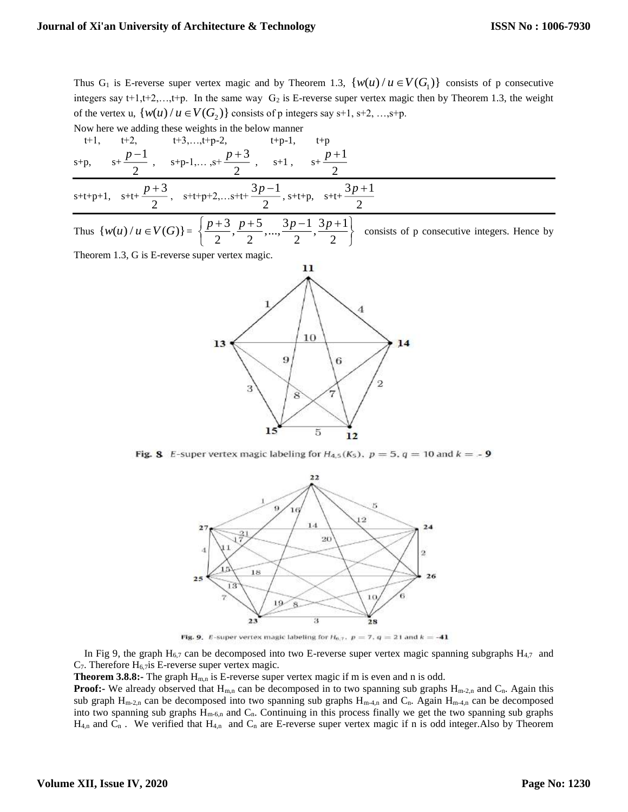Thus  $G_1$  is E-reverse super vertex magic and by Theorem 1.3,  $\{w(u) / u \in V(G_1)\}\)$  consists of p consecutive integers say  $t+1,t+2,...,t+p$ . In the same way  $G_2$  is E-reverse super vertex magic then by Theorem 1.3, the weight of the vertex u,  $\{w(u) / u \in V(G_2)\}$  consists of p integers say s+1, s+2, ...,s+p.

Now here we adding these weights in the below manner

t+1, t+2, t+3,...,t+p-2, t+p-1, t+p  
\ns+p, s+
$$
\frac{p-1}{2}
$$
, s+p-1,...,s+ $\frac{p+3}{2}$ , s+1, s+ $\frac{p+1}{2}$   
\ns+t+p+1, s+t+ $\frac{p+3}{2}$ , s+t+p+2,...s+t+ $\frac{3p-1}{2}$ , s+t+p, s+t+ $\frac{3p+1}{2}$ 

Thus  $\{w(u) / u \in V(G)\} = \{\frac{p+3}{2}, \frac{p+5}{2}, \dots, \frac{3p-1}{2}, \frac{3p+1}{2}\}$  $\left\{\frac{p+3}{2}, \frac{p+5}{2}, \dots, \frac{3p-1}{2}, \frac{3p+1}{2}\right\}$ consists of p consecutive integers. Hence by

Theorem 1.3, G is E-reverse super vertex magic.



Fig. 8 E-super vertex magic labeling for  $H_{4,5}(K_5)$ ,  $p = 5$ ,  $q = 10$  and  $k = -9$ 



Fig. 9. E-super vertex magic labeling for  $H_{6,7}$ ,  $p = 7$ ,  $q = 21$  and  $k = -41$ 

In Fig 9, the graph  $H_{6,7}$  can be decomposed into two E-reverse super vertex magic spanning subgraphs  $H_{4,7}$  and  $C_7$ . Therefore  $H_6$ , *i*s E-reverse super vertex magic.

**Theorem 3.8.8:-** The graph  $H_{m,n}$  is E-reverse super vertex magic if m is even and n is odd.

**Proof:-** We already observed that  $H_{m,n}$  can be decomposed in to two spanning sub graphs  $H_{m-2,n}$  and  $C_n$ . Again this sub graph  $H_{m-2,n}$  can be decomposed into two spanning sub graphs  $H_{m-4,n}$  and  $C_n$ . Again  $H_{m-4,n}$  can be decomposed into two spanning sub graphs  $H_{m-6,n}$  and  $C_n$ . Continuing in this process finally we get the two spanning sub graphs  $H_{4,n}$  and  $C_n$ . We verified that  $H_{4,n}$  and  $C_n$  are E-reverse super vertex magic if n is odd integer. Also by Theorem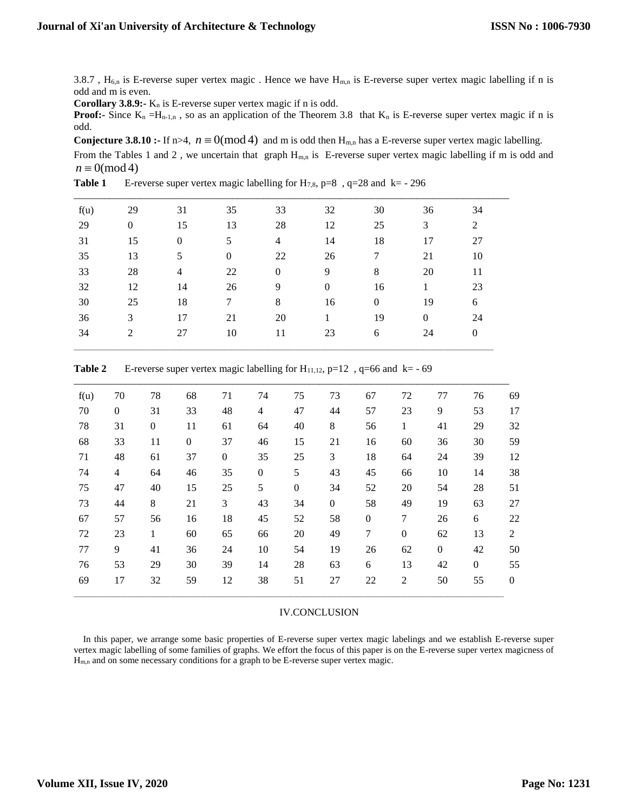3.8.7,  $H_{6,n}$  is E-reverse super vertex magic. Hence we have  $H_{m,n}$  is E-reverse super vertex magic labelling if n is odd and m is even.

**Corollary 3.8.9:-** K<sub>n</sub> is E-reverse super vertex magic if n is odd.

**Proof:-** Since  $K_n = H_{n-1,n}$ , so as an application of the Theorem 3.8 that  $K_n$  is E-reverse super vertex magic if n is odd.

**Conjecture 3.8.10 :-** If  $n>4$ ,  $n \equiv 0 \pmod{4}$  and m is odd then  $H_{m,n}$  has a E-reverse super vertex magic labelling.

From the Tables 1 and 2, we uncertain that graph  $H_{m,n}$  is E-reverse super vertex magic labelling if m is odd and  $n \equiv 0 \pmod{4}$ 

| f(u) | 29           | 31               | 35           | 33             | 32               | 30               | 36       | 34             |
|------|--------------|------------------|--------------|----------------|------------------|------------------|----------|----------------|
| 29   | $\mathbf{0}$ | 15               | 13           | 28             | 12               | 25               | 3        | 2              |
| 31   | 15           | $\boldsymbol{0}$ | 5            | $\overline{4}$ | 14               | 18               | 17       | 27             |
| 35   | 13           | 5                | $\mathbf{0}$ | 22             | 26               | 7                | 21       | 10             |
| 33   | 28           | $\overline{4}$   | 22           | $\mathbf{0}$   | 9                | 8                | 20       | 11             |
| 32   | 12           | 14               | 26           | 9              | $\boldsymbol{0}$ | 16               | 1        | 23             |
| 30   | 25           | 18               | 7            | 8              | 16               | $\boldsymbol{0}$ | 19       | 6              |
| 36   | 3            | 17               | 21           | 20             | 1                | 19               | $\theta$ | 24             |
| 34   | 2            | 27               | 10           | 11             | 23               | 6                | 24       | $\overline{0}$ |
|      |              |                  |              |                |                  |                  |          |                |

| Table 1 |  | E-reverse super vertex magic labelling for H <sub>7,8</sub> , $p=8$ , $q=28$ and $k=-296$ |
|---------|--|-------------------------------------------------------------------------------------------|
|         |  |                                                                                           |

| f(u) | 70               | 78               | 68               | 71               | 74               | 75               | 73               | 67               | 72               | 77               | 76             | 69               |
|------|------------------|------------------|------------------|------------------|------------------|------------------|------------------|------------------|------------------|------------------|----------------|------------------|
| 70   | $\boldsymbol{0}$ | 31               | 33               | 48               | 4                | 47               | 44               | 57               | 23               | 9                | 53             | 17               |
| 78   | 31               | $\boldsymbol{0}$ | 11               | 61               | 64               | 40               | 8                | 56               | $\mathbf{1}$     | 41               | 29             | 32               |
| 68   | 33               | 11               | $\boldsymbol{0}$ | 37               | 46               | 15               | 21               | 16               | 60               | 36               | 30             | 59               |
| 71   | 48               | 61               | 37               | $\boldsymbol{0}$ | 35               | 25               | 3                | 18               | 64               | 24               | 39             | 12               |
| 74   | 4                | 64               | 46               | 35               | $\boldsymbol{0}$ | 5                | 43               | 45               | 66               | 10               | 14             | 38               |
| 75   | 47               | 40               | 15               | 25               | 5                | $\boldsymbol{0}$ | 34               | 52               | $20\,$           | 54               | 28             | 51               |
| 73   | 44               | $\,8\,$          | 21               | 3                | 43               | 34               | $\boldsymbol{0}$ | 58               | 49               | 19               | 63             | 27               |
| 67   | 57               | 56               | 16               | 18               | 45               | 52               | 58               | $\boldsymbol{0}$ | $\tau$           | 26               | 6              | 22               |
| 72   | 23               | $\mathbf{1}$     | 60               | 65               | 66               | 20               | 49               | $\boldsymbol{7}$ | $\boldsymbol{0}$ | 62               | 13             | $\overline{2}$   |
| 77   | 9                | 41               | 36               | 24               | 10               | 54               | 19               | 26               | 62               | $\boldsymbol{0}$ | 42             | 50               |
| 76   | 53               | 29               | 30               | 39               | 14               | 28               | 63               | 6                | 13               | 42               | $\overline{0}$ | 55               |
| 69   | 17               | 32               | 59               | 12               | 38               | 51               | 27               | 22               | 2                | 50               | 55             | $\boldsymbol{0}$ |
|      |                  |                  |                  |                  |                  |                  |                  |                  |                  |                  |                |                  |

**Table 2** E-reverse super vertex magic labelling for  $H_{11,12}$ ,  $p=12$ ,  $q=66$  and  $k= -69$ 

## IV.CONCLUSION

 In this paper, we arrange some basic properties of E-reverse super vertex magic labelings and we establish E-reverse super vertex magic labelling of some families of graphs. We effort the focus of this paper is on the E-reverse super vertex magicness of Hm,n and on some necessary conditions for a graph to be E-reverse super vertex magic.